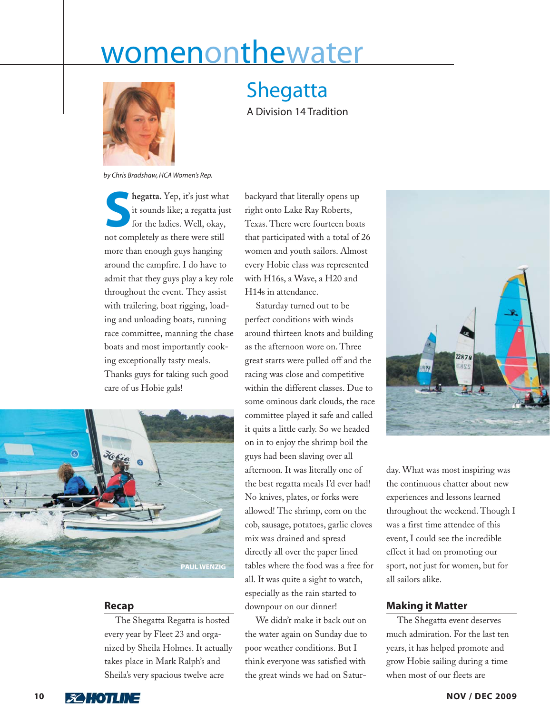## womenonthewater



## Shegatta

A Division 14 Tradition

*by Chris Bradshaw, HCA Women's Rep.*

**S**<br>**Shegatta.** Yep, it's just what<br>it sounds like; a regatta just<br>for the ladies. Well, okay, it sounds like; a regatta just for the ladies. Well, okay, not completely as there were still more than enough guys hanging around the campfire. I do have to admit that they guys play a key role throughout the event. They assist with trailering*,* boat rigging, loading and unloading boats, running race committee, manning the chase boats and most importantly cooking exceptionally tasty meals. Thanks guys for taking such good care of us Hobie gals!



## **Recap**

The Shegatta Regatta is hosted every year by Fleet 23 and organized by Sheila Holmes. It actually takes place in Mark Ralph's and Sheila's very spacious twelve acre

backyard that literally opens up right onto Lake Ray Roberts, Texas. There were fourteen boats that participated with a total of 26 women and youth sailors. Almost every Hobie class was represented with H16s, a Wave, a H20 and H14s in attendance.

Saturday turned out to be perfect conditions with winds around thirteen knots and building as the afternoon wore on. Three great starts were pulled off and the racing was close and competitive within the different classes. Due to some ominous dark clouds, the race committee played it safe and called it quits a little early. So we headed on in to enjoy the shrimp boil the guys had been slaving over all afternoon. It was literally one of the best regatta meals I'd ever had! No knives, plates, or forks were allowed! The shrimp, corn on the cob, sausage, potatoes, garlic cloves mix was drained and spread directly all over the paper lined tables where the food was a free for all. It was quite a sight to watch, especially as the rain started to downpour on our dinner!

We didn't make it back out on the water again on Sunday due to poor weather conditions. But I think everyone was satisfied with the great winds we had on Satur-



day. What was most inspiring was the continuous chatter about new experiences and lessons learned throughout the weekend. Though I was a first time attendee of this event, I could see the incredible effect it had on promoting our sport, not just for women, but for all sailors alike.

## **Making it Matter**

The Shegatta event deserves much admiration. For the last ten years, it has helped promote and grow Hobie sailing during a time when most of our fleets are